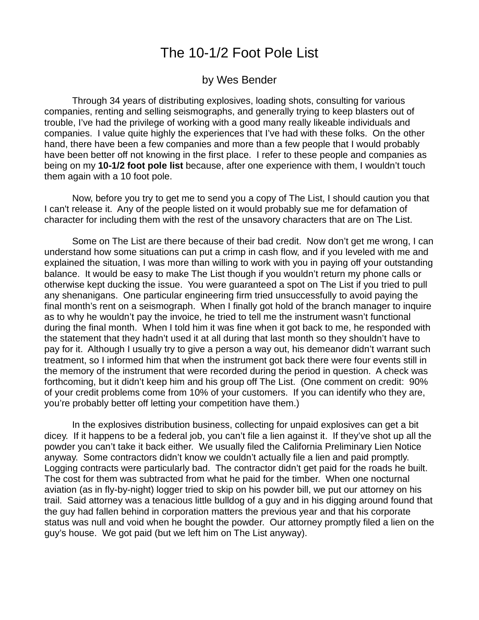## The 10-1/2 Foot Pole List

by Wes Bender

Through 34 years of distributing explosives, loading shots, consulting for various companies, renting and selling seismographs, and generally trying to keep blasters out of trouble, I've had the privilege of working with a good many really likeable individuals and companies. I value quite highly the experiences that I've had with these folks. On the other hand, there have been a few companies and more than a few people that I would probably have been better off not knowing in the first place. I refer to these people and companies as being on my **10-1/2 foot pole list** because, after one experience with them, I wouldn't touch them again with a 10 foot pole.

Now, before you try to get me to send you a copy of The List, I should caution you that I can't release it. Any of the people listed on it would probably sue me for defamation of character for including them with the rest of the unsavory characters that are on The List.

Some on The List are there because of their bad credit. Now don't get me wrong, I can understand how some situations can put a crimp in cash flow, and if you leveled with me and explained the situation, I was more than willing to work with you in paying off your outstanding balance. It would be easy to make The List though if you wouldn't return my phone calls or otherwise kept ducking the issue. You were guaranteed a spot on The List if you tried to pull any shenanigans. One particular engineering firm tried unsuccessfully to avoid paying the final month's rent on a seismograph. When I finally got hold of the branch manager to inquire as to why he wouldn't pay the invoice, he tried to tell me the instrument wasn't functional during the final month. When I told him it was fine when it got back to me, he responded with the statement that they hadn't used it at all during that last month so they shouldn't have to pay for it. Although I usually try to give a person a way out, his demeanor didn't warrant such treatment, so I informed him that when the instrument got back there were four events still in the memory of the instrument that were recorded during the period in question. A check was forthcoming, but it didn't keep him and his group off The List. (One comment on credit: 90% of your credit problems come from 10% of your customers. If you can identify who they are, you're probably better off letting your competition have them.)

In the explosives distribution business, collecting for unpaid explosives can get a bit dicey. If it happens to be a federal job, you can't file a lien against it. If they've shot up all the powder you can't take it back either. We usually filed the California Preliminary Lien Notice anyway. Some contractors didn't know we couldn't actually file a lien and paid promptly. Logging contracts were particularly bad. The contractor didn't get paid for the roads he built. The cost for them was subtracted from what he paid for the timber. When one nocturnal aviation (as in fly-by-night) logger tried to skip on his powder bill, we put our attorney on his trail. Said attorney was a tenacious little bulldog of a guy and in his digging around found that the guy had fallen behind in corporation matters the previous year and that his corporate status was null and void when he bought the powder. Our attorney promptly filed a lien on the guy's house. We got paid (but we left him on The List anyway).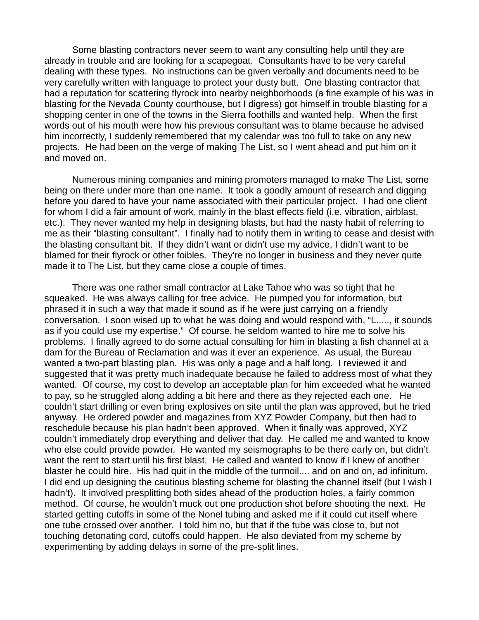Some blasting contractors never seem to want any consulting help until they are already in trouble and are looking for a scapegoat. Consultants have to be very careful dealing with these types. No instructions can be given verbally and documents need to be very carefully written with language to protect your dusty butt. One blasting contractor that had a reputation for scattering flyrock into nearby neighborhoods (a fine example of his was in blasting for the Nevada County courthouse, but I digress) got himself in trouble blasting for a shopping center in one of the towns in the Sierra foothills and wanted help. When the first words out of his mouth were how his previous consultant was to blame because he advised him incorrectly, I suddenly remembered that my calendar was too full to take on any new projects. He had been on the verge of making The List, so I went ahead and put him on it and moved on.

Numerous mining companies and mining promoters managed to make The List, some being on there under more than one name. It took a goodly amount of research and digging before you dared to have your name associated with their particular project. I had one client for whom I did a fair amount of work, mainly in the blast effects field (i.e. vibration, airblast, etc.). They never wanted my help in designing blasts, but had the nasty habit of referring to me as their "blasting consultant". I finally had to notify them in writing to cease and desist with the blasting consultant bit. If they didn't want or didn't use my advice, I didn't want to be blamed for their flyrock or other foibles. They're no longer in business and they never quite made it to The List, but they came close a couple of times.

There was one rather small contractor at Lake Tahoe who was so tight that he squeaked. He was always calling for free advice. He pumped you for information, but phrased it in such a way that made it sound as if he were just carrying on a friendly conversation. I soon wised up to what he was doing and would respond with, "L....., it sounds as if you could use my expertise." Of course, he seldom wanted to hire me to solve his problems. I finally agreed to do some actual consulting for him in blasting a fish channel at a dam for the Bureau of Reclamation and was it ever an experience. As usual, the Bureau wanted a two-part blasting plan. His was only a page and a half long. I reviewed it and suggested that it was pretty much inadequate because he failed to address most of what they wanted. Of course, my cost to develop an acceptable plan for him exceeded what he wanted to pay, so he struggled along adding a bit here and there as they rejected each one. He couldn't start drilling or even bring explosives on site until the plan was approved, but he tried anyway. He ordered powder and magazines from XYZ Powder Company, but then had to reschedule because his plan hadn't been approved. When it finally was approved, XYZ couldn't immediately drop everything and deliver that day. He called me and wanted to know who else could provide powder. He wanted my seismographs to be there early on, but didn't want the rent to start until his first blast. He called and wanted to know if I knew of another blaster he could hire. His had quit in the middle of the turmoil.... and on and on, ad infinitum. I did end up designing the cautious blasting scheme for blasting the channel itself (but I wish I hadn't). It involved presplitting both sides ahead of the production holes, a fairly common method. Of course, he wouldn't muck out one production shot before shooting the next. He started getting cutoffs in some of the Nonel tubing and asked me if it could cut itself where one tube crossed over another. I told him no, but that if the tube was close to, but not touching detonating cord, cutoffs could happen. He also deviated from my scheme by experimenting by adding delays in some of the pre-split lines.